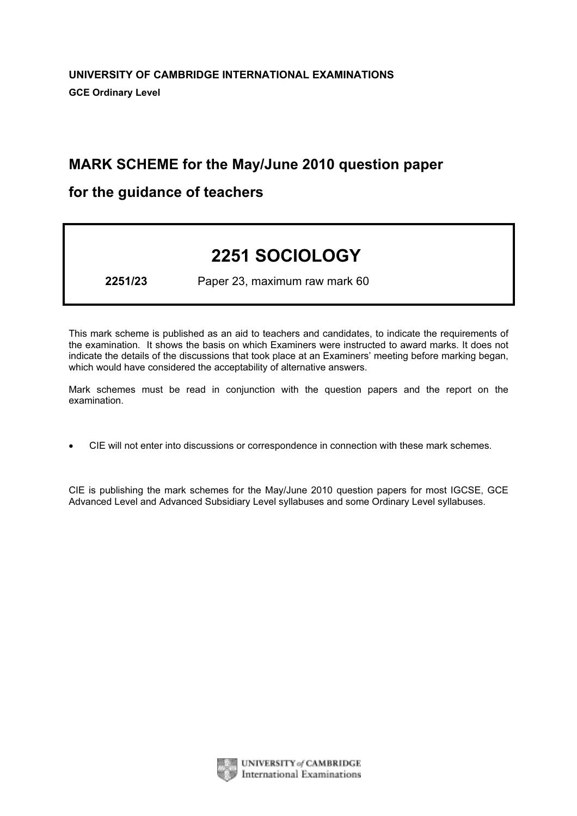# MARK SCHEME for the May/June 2010 question paper

# for the guidance of teachers

# 2251 SOCIOLOGY

2251/23 Paper 23, maximum raw mark 60

This mark scheme is published as an aid to teachers and candidates, to indicate the requirements of the examination. It shows the basis on which Examiners were instructed to award marks. It does not indicate the details of the discussions that took place at an Examiners' meeting before marking began, which would have considered the acceptability of alternative answers.

Mark schemes must be read in conjunction with the question papers and the report on the examination.

*•* CIE will not enter into discussions or correspondence in connection with these mark schemes.

CIE is publishing the mark schemes for the May/June 2010 question papers for most IGCSE, GCE Advanced Level and Advanced Subsidiary Level syllabuses and some Ordinary Level syllabuses.



UNIVERSITY of CAMBRIDGE **International Examinations**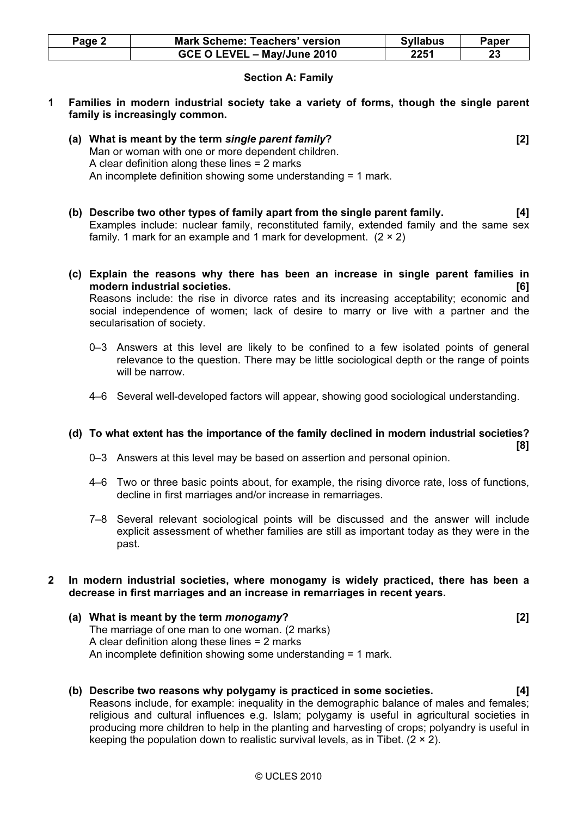| Page 2 | <b>Mark Scheme: Teachers' version</b> | <b>Syllabus</b> | Paper |
|--------|---------------------------------------|-----------------|-------|
|        | GCE O LEVEL - May/June 2010           | 2251            |       |

# Section A: Family

- 1 Families in modern industrial society take a variety of forms, though the single parent family is increasingly common.
	- (a) What is meant by the term single parent family? [2] Man or woman with one or more dependent children. A clear definition along these lines = 2 marks An incomplete definition showing some understanding = 1 mark.
	- (b) Describe two other types of family apart from the single parent family. [4] Examples include: nuclear family, reconstituted family, extended family and the same sex family. 1 mark for an example and 1 mark for development.  $(2 \times 2)$
	- (c) Explain the reasons why there has been an increase in single parent families in modern industrial societies. [6] Reasons include: the rise in divorce rates and its increasing acceptability; economic and social independence of women; lack of desire to marry or live with a partner and the secularisation of society.
		- 0–3 Answers at this level are likely to be confined to a few isolated points of general relevance to the question. There may be little sociological depth or the range of points will be narrow.
		- 4–6 Several well-developed factors will appear, showing good sociological understanding.

#### (d) To what extent has the importance of the family declined in modern industrial societies? [8]

- 0–3 Answers at this level may be based on assertion and personal opinion.
- 4–6 Two or three basic points about, for example, the rising divorce rate, loss of functions, decline in first marriages and/or increase in remarriages.
- 7–8 Several relevant sociological points will be discussed and the answer will include explicit assessment of whether families are still as important today as they were in the past.

#### 2 In modern industrial societies, where monogamy is widely practiced, there has been a decrease in first marriages and an increase in remarriages in recent years.

- (a) What is meant by the term monogamy? [2] The marriage of one man to one woman. (2 marks) A clear definition along these lines = 2 marks An incomplete definition showing some understanding = 1 mark.
- (b) Describe two reasons why polygamy is practiced in some societies. [4] Reasons include, for example: inequality in the demographic balance of males and females; religious and cultural influences e.g. Islam; polygamy is useful in agricultural societies in producing more children to help in the planting and harvesting of crops; polyandry is useful in keeping the population down to realistic survival levels, as in Tibet.  $(2 \times 2)$ .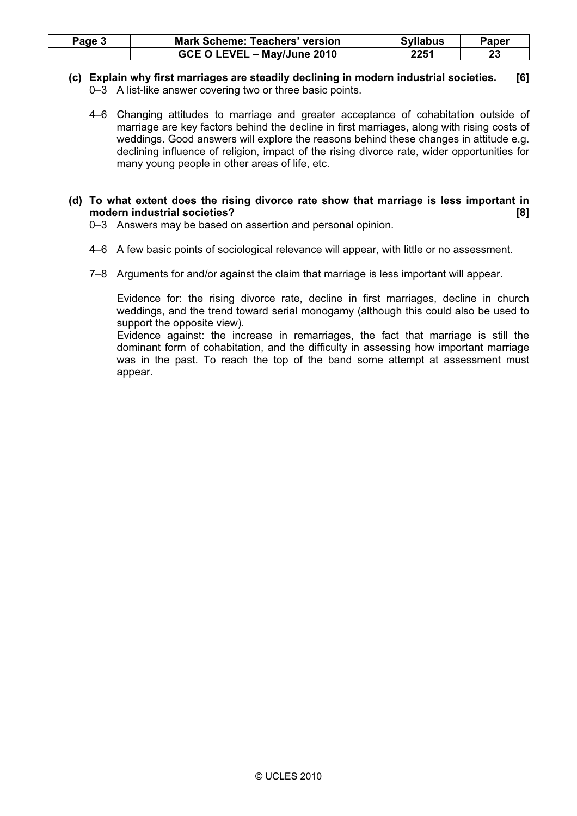| Page 3 | <b>Mark Scheme: Teachers' version</b> | <b>Syllabus</b> | Paper |
|--------|---------------------------------------|-----------------|-------|
|        | GCE O LEVEL - May/June 2010           | 2251            | 23    |

- (c) Explain why first marriages are steadily declining in modern industrial societies. [6] 0–3 A list-like answer covering two or three basic points.
	- 4–6 Changing attitudes to marriage and greater acceptance of cohabitation outside of marriage are key factors behind the decline in first marriages, along with rising costs of weddings. Good answers will explore the reasons behind these changes in attitude e.g. declining influence of religion, impact of the rising divorce rate, wider opportunities for many young people in other areas of life, etc.
- (d) To what extent does the rising divorce rate show that marriage is less important in modern industrial societies? [8]
	- 0–3 Answers may be based on assertion and personal opinion.
	- 4–6 A few basic points of sociological relevance will appear, with little or no assessment.
	- 7–8 Arguments for and/or against the claim that marriage is less important will appear.

 Evidence for: the rising divorce rate, decline in first marriages, decline in church weddings, and the trend toward serial monogamy (although this could also be used to support the opposite view).

 Evidence against: the increase in remarriages, the fact that marriage is still the dominant form of cohabitation, and the difficulty in assessing how important marriage was in the past. To reach the top of the band some attempt at assessment must appear.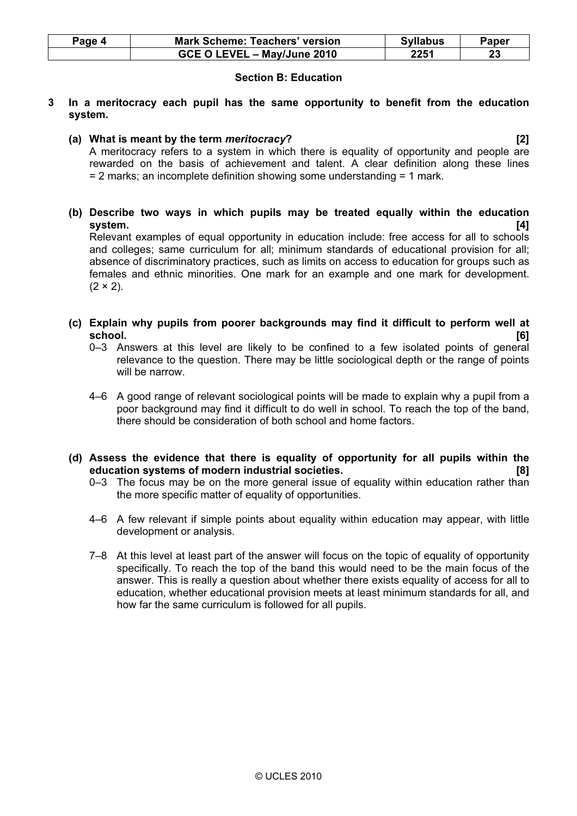| Page 4 | <b>Mark Scheme: Teachers' version</b> | <b>Syllabus</b> | Paper |
|--------|---------------------------------------|-----------------|-------|
|        | GCE O LEVEL - May/June 2010           | 2251            | 23    |

# Section B: Education

- 3 In a meritocracy each pupil has the same opportunity to benefit from the education system.
	- (a) What is meant by the term meritocracy? [2]

 A meritocracy refers to a system in which there is equality of opportunity and people are rewarded on the basis of achievement and talent. A clear definition along these lines = 2 marks; an incomplete definition showing some understanding = 1 mark.

 (b) Describe two ways in which pupils may be treated equally within the education system. [4]

 Relevant examples of equal opportunity in education include: free access for all to schools and colleges; same curriculum for all; minimum standards of educational provision for all; absence of discriminatory practices, such as limits on access to education for groups such as females and ethnic minorities. One mark for an example and one mark for development.  $(2 \times 2)$ .

- (c) Explain why pupils from poorer backgrounds may find it difficult to perform well at school. [6]
	- 0–3 Answers at this level are likely to be confined to a few isolated points of general relevance to the question. There may be little sociological depth or the range of points will be narrow.
	- 4–6 A good range of relevant sociological points will be made to explain why a pupil from a poor background may find it difficult to do well in school. To reach the top of the band, there should be consideration of both school and home factors.
- (d) Assess the evidence that there is equality of opportunity for all pupils within the education systems of modern industrial societies.
	- 0-3 The focus may be on the more general issue of equality within education rather than the more specific matter of equality of opportunities.
	- 4–6 A few relevant if simple points about equality within education may appear, with little development or analysis.
	- 7–8 At this level at least part of the answer will focus on the topic of equality of opportunity specifically. To reach the top of the band this would need to be the main focus of the answer. This is really a question about whether there exists equality of access for all to education, whether educational provision meets at least minimum standards for all, and how far the same curriculum is followed for all pupils.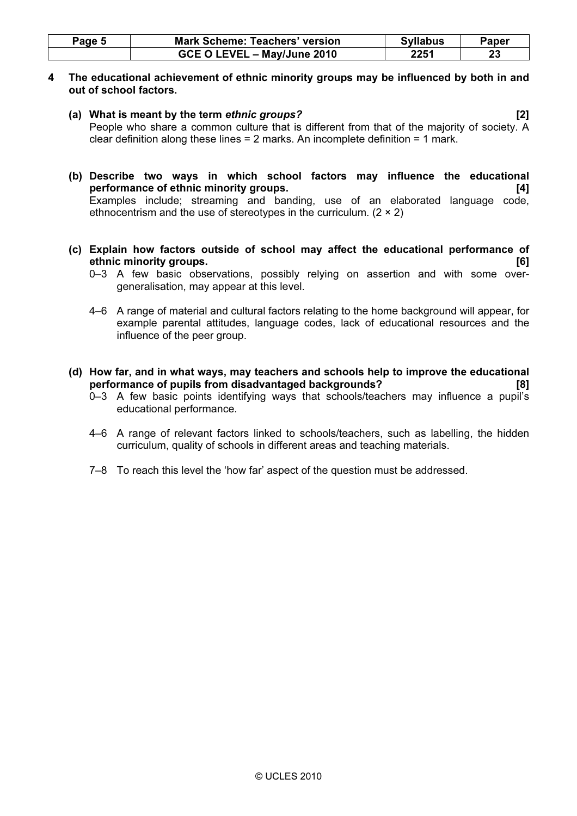| Page 5 | <b>Mark Scheme: Teachers' version</b> | <b>Syllabus</b> | Paper |
|--------|---------------------------------------|-----------------|-------|
|        | GCE O LEVEL - May/June 2010           | 2251            |       |

### 4 The educational achievement of ethnic minority groups may be influenced by both in and out of school factors.

- (a) What is meant by the term ethnic groups? [2] People who share a common culture that is different from that of the majority of society. A clear definition along these lines = 2 marks. An incomplete definition = 1 mark.
- (b) Describe two ways in which school factors may influence the educational performance of ethnic minority groups. [4] Examples include; streaming and banding, use of an elaborated language code, ethnocentrism and the use of stereotypes in the curriculum. (2 × 2)
- (c) Explain how factors outside of school may affect the educational performance of ethnic minority groups. [6]
	- 0–3 A few basic observations, possibly relying on assertion and with some overgeneralisation, may appear at this level.
	- 4–6 A range of material and cultural factors relating to the home background will appear, for example parental attitudes, language codes, lack of educational resources and the influence of the peer group.
- (d) How far, and in what ways, may teachers and schools help to improve the educational performance of pupils from disadvantaged backgrounds? [8]
	- 0–3 A few basic points identifying ways that schools/teachers may influence a pupil's educational performance.
	- 4–6 A range of relevant factors linked to schools/teachers, such as labelling, the hidden curriculum, quality of schools in different areas and teaching materials.
	- 7–8 To reach this level the 'how far' aspect of the question must be addressed.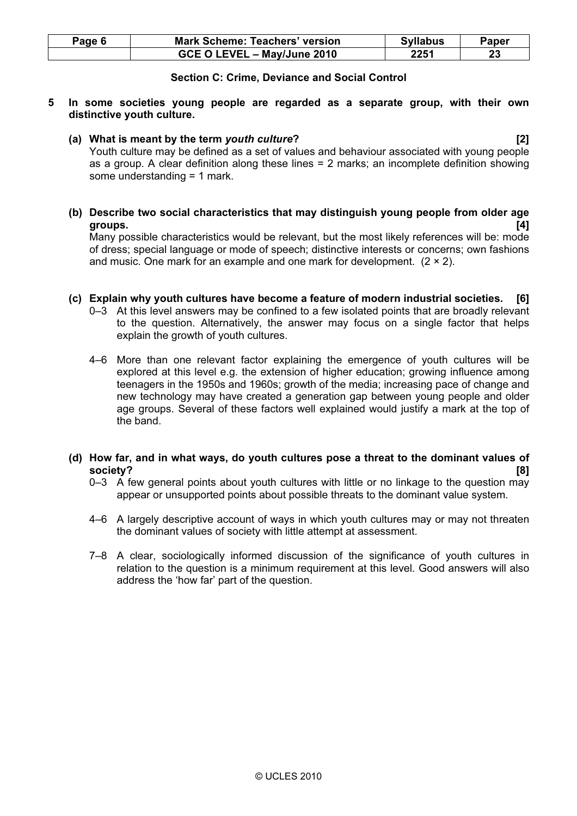| Page 6 | <b>Mark Scheme: Teachers' version</b> | <b>Syllabus</b> | Paper |
|--------|---------------------------------------|-----------------|-------|
|        | GCE O LEVEL - May/June 2010           | 2251            | 23    |

## Section C: Crime, Deviance and Social Control

- 5 In some societies young people are regarded as a separate group, with their own distinctive youth culture.
	- (a) What is meant by the term youth culture? [2]

 Youth culture may be defined as a set of values and behaviour associated with young people as a group. A clear definition along these lines = 2 marks; an incomplete definition showing some understanding = 1 mark.

 (b) Describe two social characteristics that may distinguish young people from older age groups.  $[4]$ 

 Many possible characteristics would be relevant, but the most likely references will be: mode of dress; special language or mode of speech; distinctive interests or concerns; own fashions and music. One mark for an example and one mark for development.  $(2 \times 2)$ .

- (c) Explain why youth cultures have become a feature of modern industrial societies. [6]
	- 0–3 At this level answers may be confined to a few isolated points that are broadly relevant to the question. Alternatively, the answer may focus on a single factor that helps explain the growth of youth cultures.
	- 4–6 More than one relevant factor explaining the emergence of youth cultures will be explored at this level e.g. the extension of higher education; growing influence among teenagers in the 1950s and 1960s; growth of the media; increasing pace of change and new technology may have created a generation gap between young people and older age groups. Several of these factors well explained would justify a mark at the top of the band.
- (d) How far, and in what ways, do youth cultures pose a threat to the dominant values of society? [8]
	- 0–3 A few general points about youth cultures with little or no linkage to the question may appear or unsupported points about possible threats to the dominant value system.
	- 4–6 A largely descriptive account of ways in which youth cultures may or may not threaten the dominant values of society with little attempt at assessment.
	- 7–8 A clear, sociologically informed discussion of the significance of youth cultures in relation to the question is a minimum requirement at this level. Good answers will also address the 'how far' part of the question.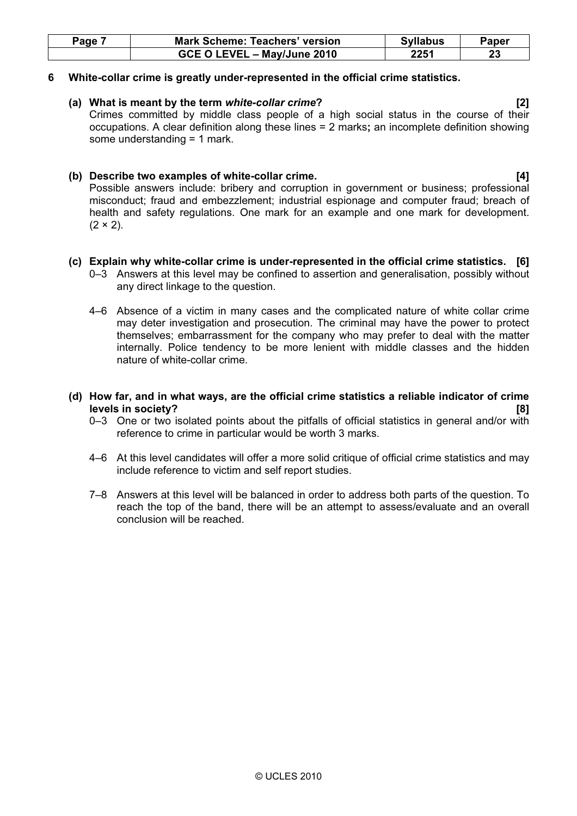| Page | <b>Mark Scheme: Teachers' version</b> | <b>Syllabus</b> | Paper |
|------|---------------------------------------|-----------------|-------|
|      | GCE O LEVEL - May/June 2010           | 2251            | 23    |

### 6 White-collar crime is greatly under-represented in the official crime statistics.

#### (a) What is meant by the term white-collar crime? [2]

 Crimes committed by middle class people of a high social status in the course of their occupations. A clear definition along these lines = 2 marks; an incomplete definition showing some understanding = 1 mark.

# (b) Describe two examples of white-collar crime. [4]

 Possible answers include: bribery and corruption in government or business; professional misconduct; fraud and embezzlement; industrial espionage and computer fraud; breach of health and safety regulations. One mark for an example and one mark for development.  $(2 \times 2)$ .

# (c) Explain why white-collar crime is under-represented in the official crime statistics. [6]

- 0–3 Answers at this level may be confined to assertion and generalisation, possibly without any direct linkage to the question.
- 4–6 Absence of a victim in many cases and the complicated nature of white collar crime may deter investigation and prosecution. The criminal may have the power to protect themselves; embarrassment for the company who may prefer to deal with the matter internally. Police tendency to be more lenient with middle classes and the hidden nature of white-collar crime.

# (d) How far, and in what ways, are the official crime statistics a reliable indicator of crime levels in society? [8]

- 0–3 One or two isolated points about the pitfalls of official statistics in general and/or with reference to crime in particular would be worth 3 marks.
- 4–6 At this level candidates will offer a more solid critique of official crime statistics and may include reference to victim and self report studies.
- 7–8 Answers at this level will be balanced in order to address both parts of the question. To reach the top of the band, there will be an attempt to assess/evaluate and an overall conclusion will be reached.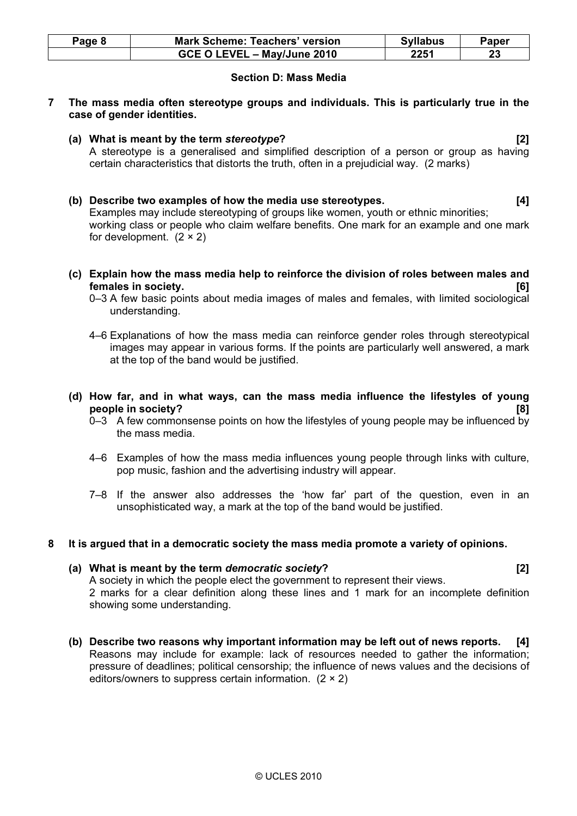| Page 8 | <b>Mark Scheme: Teachers' version</b> | <b>Syllabus</b> | <b>Paper</b> |
|--------|---------------------------------------|-----------------|--------------|
|        | GCE O LEVEL - May/June 2010           | 2251            |              |

# Section D: Mass Media

- 7 The mass media often stereotype groups and individuals. This is particularly true in the case of gender identities.
	- (a) What is meant by the term stereotype? [2] A stereotype is a generalised and simplified description of a person or group as having certain characteristics that distorts the truth, often in a prejudicial way. (2 marks)
	- (b) Describe two examples of how the media use stereotypes. [4] Examples may include stereotyping of groups like women, youth or ethnic minorities; working class or people who claim welfare benefits. One mark for an example and one mark for development.  $(2 \times 2)$
	- (c) Explain how the mass media help to reinforce the division of roles between males and females in society. [6]
		- 0–3 A few basic points about media images of males and females, with limited sociological understanding.
		- 4–6 Explanations of how the mass media can reinforce gender roles through stereotypical images may appear in various forms. If the points are particularly well answered, a mark at the top of the band would be justified.
	- (d) How far, and in what ways, can the mass media influence the lifestyles of young people in society? [8]
		- 0–3 A few commonsense points on how the lifestyles of young people may be influenced by the mass media.
		- 4–6 Examples of how the mass media influences young people through links with culture, pop music, fashion and the advertising industry will appear.
		- 7–8 If the answer also addresses the 'how far' part of the question, even in an unsophisticated way, a mark at the top of the band would be justified.

# 8 It is argued that in a democratic society the mass media promote a variety of opinions.

#### (a) What is meant by the term democratic society? [2]

 A society in which the people elect the government to represent their views. 2 marks for a clear definition along these lines and 1 mark for an incomplete definition showing some understanding.

 (b) Describe two reasons why important information may be left out of news reports. [4] Reasons may include for example: lack of resources needed to gather the information; pressure of deadlines; political censorship; the influence of news values and the decisions of editors/owners to suppress certain information. (2 × 2)